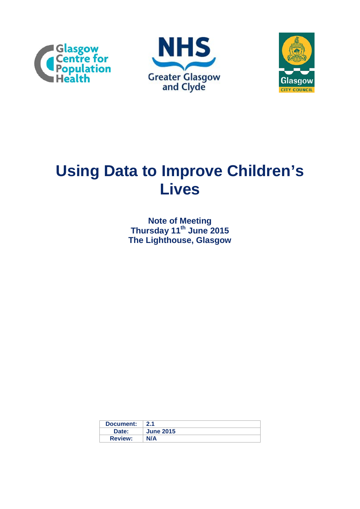





# **Using Data to Improve Children's Lives**

**Note of Meeting Thursday 11th June 2015 The Lighthouse, Glasgow**

| Document:      | 2.1              |
|----------------|------------------|
| Date:          | <b>June 2015</b> |
| <b>Review:</b> | <b>N/A</b>       |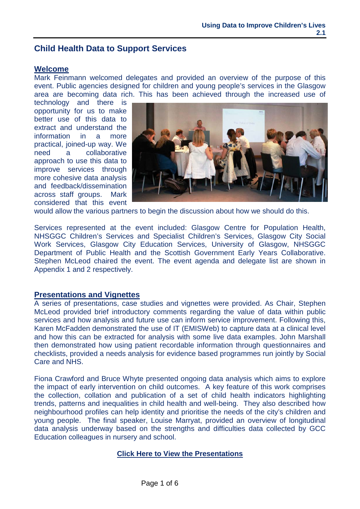# **Child Health Data to Support Services**

#### **Welcome**

Mark Feinmann welcomed delegates and provided an overview of the purpose of this event. Public agencies designed for children and young people's services in the Glasgow area are becoming data rich. This has been achieved through the increased use of

technology and there is opportunity for us to make better use of this data to extract and understand the information in a more practical, joined-up way. We need a collaborative approach to use this data to improve services through more cohesive data analysis and feedback/dissemination across staff groups. Mark considered that this event



would allow the various partners to begin the discussion about how we should do this.

Services represented at the event included: Glasgow Centre for Population Health, NHSGGC Children's Services and Specialist Children's Services, Glasgow City Social Work Services, Glasgow City Education Services, University of Glasgow, NHSGGC Department of Public Health and the Scottish Government Early Years Collaborative. Stephen McLeod chaired the event. The event agenda and delegate list are shown in Appendix 1 and 2 respectively.

#### **Presentations and Vignettes**

A series of presentations, case studies and vignettes were provided. As Chair, Stephen McLeod provided brief introductory comments regarding the value of data within public services and how analysis and future use can inform service improvement. Following this, Karen McFadden demonstrated the use of IT (EMISWeb) to capture data at a clinical level and how this can be extracted for analysis with some live data examples. John Marshall then demonstrated how using patient recordable information through questionnaires and checklists, provided a needs analysis for evidence based programmes run jointly by Social Care and NHS.

Fiona Crawford and Bruce Whyte presented ongoing data analysis which aims to explore the impact of early intervention on child outcomes. A key feature of this work comprises the collection, collation and publication of a set of child health indicators highlighting trends, patterns and inequalities in child health and well-being. They also described how neighbourhood profiles can help identity and prioritise the needs of the city's children and young people. The final speaker, Louise Marryat, provided an overview of longitudinal data analysis underway based on the strengths and difficulties data collected by GCC Education colleagues in nursery and school.

## **[Click Here to View the Presentations](http://www.gcph.co.uk/work_themes/theme_1_understanding_glasgows_health/early_years_health_and_wellbeing)**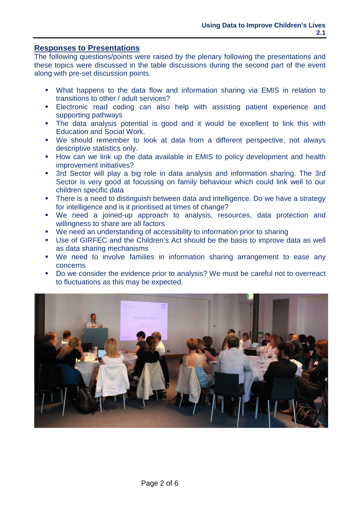## **Responses to Presentations**

The following questions/points were raised by the plenary following the presentations and these topics were discussed in the table discussions during the second part of the event along with pre-set discussion points.

- What happens to the data flow and information sharing via EMIS in relation to transitions to other / adult services?
- Electronic read coding can also help with assisting patient experience and supporting pathways
- The data analysis potential is good and it would be excellent to link this with Education and Social Work.
- We should remember to look at data from a different perspective, not always descriptive statistics only.
- **How can we link up the data available in EMIS to policy development and health** improvement initiatives?
- 3rd Sector will play a big role in data analysis and information sharing. The 3rd Sector is very good at focussing on family behaviour which could link well to our children specific data
- There is a need to distinguish between data and intelligence. Do we have a strategy for intelligence and is it prioritised at times of change?
- We need a joined-up approach to analysis, resources, data protection and willingness to share are all factors
- We need an understanding of accessibility to information prior to sharing
- Use of GIRFEC and the Children's Act should be the basis to improve data as well as data sharing mechanisms
- We need to involve families in information sharing arrangement to ease any concerns
- Do we consider the evidence prior to analysis? We must be careful not to overreact to fluctuations as this may be expected.

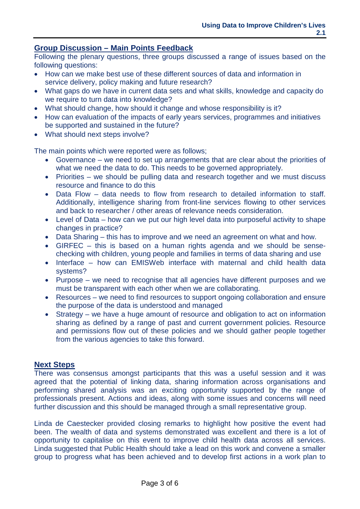## **Group Discussion – Main Points Feedback**

Following the plenary questions, three groups discussed a range of issues based on the following questions:

- How can we make best use of these different sources of data and information in service delivery, policy making and future research?
- What gaps do we have in current data sets and what skills, knowledge and capacity do we require to turn data into knowledge?
- What should change, how should it change and whose responsibility is it?
- How can evaluation of the impacts of early years services, programmes and initiatives be supported and sustained in the future?
- What should next steps involve?

The main points which were reported were as follows;

- Governance we need to set up arrangements that are clear about the priorities of what we need the data to do. This needs to be governed appropriately.
- Priorities we should be pulling data and research together and we must discuss resource and finance to do this
- Data Flow data needs to flow from research to detailed information to staff. Additionally, intelligence sharing from front-line services flowing to other services and back to researcher / other areas of relevance needs consideration.
- Level of Data how can we put our high level data into purposeful activity to shape changes in practice?
- Data Sharing this has to improve and we need an agreement on what and how.
- GIRFEC this is based on a human rights agenda and we should be sensechecking with children, young people and families in terms of data sharing and use
- Interface how can EMISWeb interface with maternal and child health data systems?
- Purpose we need to recognise that all agencies have different purposes and we must be transparent with each other when we are collaborating.
- Resources we need to find resources to support ongoing collaboration and ensure the purpose of the data is understood and managed
- Strategy we have a huge amount of resource and obligation to act on information sharing as defined by a range of past and current government policies. Resource and permissions flow out of these policies and we should gather people together from the various agencies to take this forward.

## **Next Steps**

There was consensus amongst participants that this was a useful session and it was agreed that the potential of linking data, sharing information across organisations and performing shared analysis was an exciting opportunity supported by the range of professionals present. Actions and ideas, along with some issues and concerns will need further discussion and this should be managed through a small representative group.

Linda de Caestecker provided closing remarks to highlight how positive the event had been. The wealth of data and systems demonstrated was excellent and there is a lot of opportunity to capitalise on this event to improve child health data across all services. Linda suggested that Public Health should take a lead on this work and convene a smaller group to progress what has been achieved and to develop first actions in a work plan to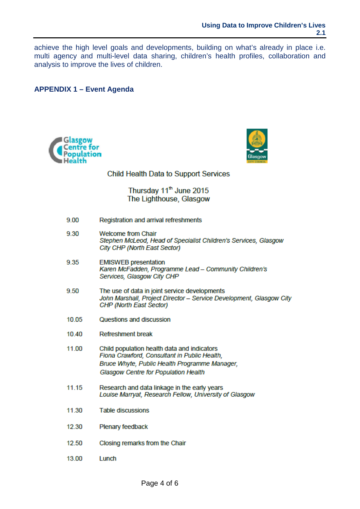achieve the high level goals and developments, building on what's already in place i.e. multi agency and multi-level data sharing, children's health profiles, collaboration and analysis to improve the lives of children.

**APPENDIX 1 - Event Agenda** 





#### **Child Health Data to Support Services**

Thursday 11<sup>th</sup> June 2015 The Lighthouse, Glasgow

- 9.30 **Welcome from Chair** Stephen McLeod, Head of Specialist Children's Services, Glasgow City CHP (North East Sector)
- 9.35 **EMISWEB** presentation Karen McFadden, Programme Lead - Community Children's Services, Glasgow City CHP
- 9.50 The use of data in joint service developments John Marshall, Project Director - Service Development, Glasgow City **CHP (North East Sector)**
- 10.05 Questions and discussion
- **Refreshment break** 10.40
- 11.00 Child population health data and indicators Fiona Crawford, Consultant in Public Health, Bruce Whyte, Public Health Programme Manager, **Glasgow Centre for Population Health**
- 11.15 Research and data linkage in the early years Louise Marryat, Research Fellow, University of Glasgow
- 11.30 **Table discussions**
- 12.30 Plenary feedback
- 12.50 Closing remarks from the Chair
- 13.00 Lunch